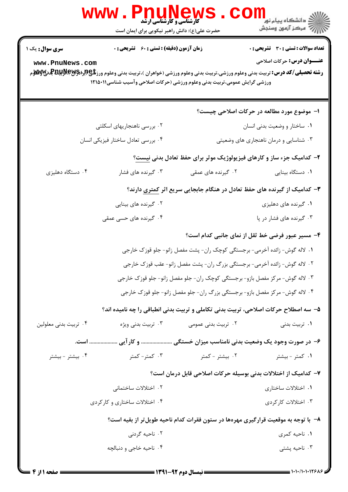|                                           | <b>WWW.PNUNEWS</b><br><b>گارشناسی و کارشناسی ارشد</b><br>حضرت علی(ع): دانش راهبر نیکویی برای ایمان است                          |                     | ر دانشگاه پيام نور <mark>−</mark><br>ار <i>آهر کر</i> آزمون وسنجش                                                                                                                                                                          |  |  |
|-------------------------------------------|---------------------------------------------------------------------------------------------------------------------------------|---------------------|--------------------------------------------------------------------------------------------------------------------------------------------------------------------------------------------------------------------------------------------|--|--|
| <b>سری سوال :</b> یک ۱<br>www.PnuNews.com | <b>زمان آزمون (دقیقه) : تستی : 60 ٪ تشریحی : 0</b><br>ورزشی گرایش عمومی،تربیت بدنی وعلوم ورزشی (حرکات اصلاحی وآسیب شناسی۱۲۱۵۰۱۱ |                     | <b>تعداد سوالات : تستی : 30 ٪ تشریحی : 0</b><br><b>عنـــوان درس :</b> حرکات اصلاحی<br><b>رشته تحصیلی/کد درس:</b> تربیت بدنی وعلوم ورزشی،تربیت بدنی وعلوم ورزشی (خواهران )،تربیت بدنی وعلوم ورز <b>شگی(لپرلیلپرلیلپ بالولایل به می</b> لایل |  |  |
|                                           |                                                                                                                                 |                     | ا- موضوع مورد مطالعه در حرکات اصلاحی چیست؟                                                                                                                                                                                                 |  |  |
|                                           | ۰۲ بررسی ناهنجاریهای اسکلتی                                                                                                     |                     | ٠١ ساختار و وضعيت بدني انسان                                                                                                                                                                                                               |  |  |
|                                           | ۰۴ بررسی تعادل ساختار فیزیکی انسان                                                                                              |                     | ۰۳ شناسایی و درمان ناهنجاری های وضعیتی                                                                                                                                                                                                     |  |  |
|                                           |                                                                                                                                 |                     | ۲- کدامیک جزء ساز و کارهای فیزیولوژیک موثر برای حفظ تعادل بدنی نیست؟                                                                                                                                                                       |  |  |
| ۰۴ دستگاه دهلیزی                          | ۰۳ گیرنده های فشار                                                                                                              | ۰۲ گیرنده های عمقی  | ۰۱ دستگاه بینایی                                                                                                                                                                                                                           |  |  |
|                                           | <b>۳</b> – کدامیک از گیرنده های حفظ تعادل در هنگام جابجایی سریع اثر <u>کمتری</u> دارند؟                                         |                     |                                                                                                                                                                                                                                            |  |  |
|                                           | ۰۲ گیرنده های بینایی                                                                                                            |                     | ۰۱ گیرنده های دهلیزی                                                                                                                                                                                                                       |  |  |
|                                           | ۰۴ گیرنده های حسی عمقی                                                                                                          |                     | ۰۳ گیرنده های فشار در پا                                                                                                                                                                                                                   |  |  |
|                                           |                                                                                                                                 |                     | ۴- مسیر عبور فرضی خط ثقل از نمای جانبی کدام است؟                                                                                                                                                                                           |  |  |
|                                           | ۰۱ لاله گوش- زائده آخرمی- برجستگی کوچک ران- پشت مفصل زانو- جلو قوزک خارجی                                                       |                     |                                                                                                                                                                                                                                            |  |  |
|                                           | ۰۲ لاله گوش- زائده آخرمی- برجستگی بزرگ ران- پشت مفصل زانو- عقب قوزک خارجی                                                       |                     |                                                                                                                                                                                                                                            |  |  |
|                                           | ۰۳ لاله گوش- مرکز مفصل بازو- برجستگی کوچک ران- جلو مفصل زانو- جلو قوزک خارجی                                                    |                     |                                                                                                                                                                                                                                            |  |  |
|                                           | ۰۴ لاله گوش- مرکز مفصل بازو- برجستگی بزرگ ران- جلو مفصل زانو- جلو قوزک خارجی                                                    |                     |                                                                                                                                                                                                                                            |  |  |
|                                           | ۵- سه اصطلاح حرکات اصلاحی، تربیت بدنی تکاملی و تربیت بدنی انطباقی را چه نامیده اند؟                                             |                     |                                                                                                                                                                                                                                            |  |  |
| ۰۴ تربیت بدنی معلولین                     | ۰۳ تربیت بدنی ویژه                                                                                                              | ۰۲ تربیت بدنی عمومی | ۰۱ تربیت بدنی                                                                                                                                                                                                                              |  |  |
|                                           | ۶– در صورت وجود یک وضعیت بدنی نامناسب میزان خستگی  و کار آیی  است.                                                              |                     |                                                                                                                                                                                                                                            |  |  |
| ۰۴ بیشتر - بیشتر                          | ۰۳ کمتر- کمتر                                                                                                                   | ۰۲ بیشتر - کمتر     | ۰۱ کمتر - بیشتر                                                                                                                                                                                                                            |  |  |
|                                           |                                                                                                                                 |                     | ۷– کدامیک از اختلالات بدنی بوسیله حرکات اصلاحی قابل درمان است؟                                                                                                                                                                             |  |  |
|                                           | ۰۲ اختلالات ساختمانی                                                                                                            |                     | ۰۱ اختلالات ساختاری                                                                                                                                                                                                                        |  |  |
|                                           | ۰۴ اختلالات ساختاری و کار کردی                                                                                                  |                     | ۰۳ اختلالات کارکردی                                                                                                                                                                                                                        |  |  |
|                                           |                                                                                                                                 |                     | ۸– با توجه به موقعیت قرارگیری مهرهها در ستون فقرات کدام ناحیه طویل تر از بقیه است؟                                                                                                                                                         |  |  |
|                                           | ۰۲ ناحیه گردنی                                                                                                                  |                     | ۰۱ ناحیه کمری                                                                                                                                                                                                                              |  |  |
|                                           | ۰۴ ناحیه خاجی و دنبالچه                                                                                                         |                     | ۰۳ ناحیه پشتی                                                                                                                                                                                                                              |  |  |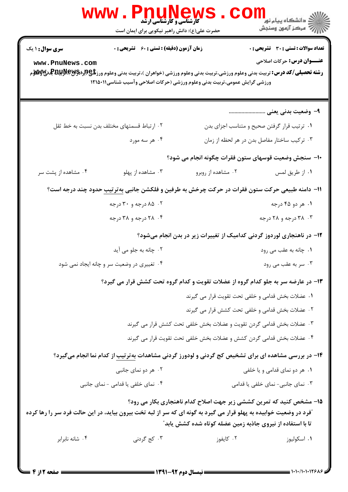|                                           | www.rnunew<br><b>کارشناسی و کارشناسی ارشد</b><br>حضرت علی(ع): دانش راهبر نیکویی برای ایمان است                                                                                      |                                                                                                                                              | <sup>ان</sup> گ دانشگاه پيام نور<br>ا <mark>∛</mark> مرکز آزمون وسنجش                                                     |
|-------------------------------------------|-------------------------------------------------------------------------------------------------------------------------------------------------------------------------------------|----------------------------------------------------------------------------------------------------------------------------------------------|---------------------------------------------------------------------------------------------------------------------------|
| <b>سری سوال : ۱ یک</b><br>www.PnuNews.com | <b>زمان آزمون (دقیقه) : تستی : 60 ٪ تشریحی : 0</b><br>ورزشی گرایش عمومی،تربیت بدنی وعلوم ورزشی (حرکات اصلاحی وآسیب شناسی۱۲۱۵۰۱۱                                                     |                                                                                                                                              | <b>تعداد سوالات : تستی : 30 ٪ تشریحی : 0</b><br><b>عنـــوان درس:</b> حرکات اصلاحی                                         |
|                                           | ۰۲ ارتباط قسمتهای مختلف بدن نسبت به خط ثقل<br>۰۴ هر سه مورد                                                                                                                         |                                                                                                                                              | ۹– وضعیت بدنی یعنی<br>٠١ ترتيب قرار گرفتن صحيح و متناسب اجزاي بدن<br>۰۳ ترکیب ساختار مفاصل بدن در هر لحظه از زمان         |
| ۰۴ مشاهده از پشت سر                       | ۰۳ مشاهده از پهلو                                                                                                                                                                   | ۰۲ مشاهده از روبرو                                                                                                                           | ∙۱− سنجش وضعیت قوسهای ستون فقرات چگونه انجام می شود؟<br>٠١ از طريق لمس                                                    |
|                                           | 11- دامنه طبیعی حرکت ستون فقرات در حرکت چرخش به طرفین و فلکشن جانبی بهترتیب حدود چند درجه است؟<br>۰۲ ۸۵ درجه و ۳۰ درجه<br>۰۴ ۲۸ درجه و ۳۸ درجه                                      |                                                                                                                                              | ۰۱ هر دو ۴۵ درجه<br>۰۳ درجه و ۲۸ درجه<br>۱۲– در ناهنجاری لوردوز گردنی کدامیک از تغییرات زیر در بدن انجام میشود؟           |
|                                           | ۰۲ چانه به جلو می آید<br>۰۴ تغییری در وضعیت سر و چانه ایجاد نمی شود<br>۱۳- در عارضه سر به جلو کدام گروه از عضلات تقویت و کدام گروه تحت کشش قرار می گیرد؟                            | ٠. عضلات بخش قدامي و خلفي تحت تقويت قرار مي گيرند<br>۰۲ عضلات بخش قدامی و خلفی تحت کشش قرار می گیرند                                         | ۰۱ چانه به عقب مي رود<br>۰۳ سر به عقب می رود                                                                              |
|                                           | <b>۱۴</b> - در بررسی مشاهده ای برای تشخیص کج گردنی و لودورز گردنی مشاهدات بهترتیب از کدام نما انجام میگیرد؟<br>۰۲ هر دو نمای جانبی                                                  | ۰۳ عضلات بخش قدامی گردن تقویت و عضلات بخش خلفی تحت کشش قرار می گیرند<br>۰۴ عضلات بخش قدامی گردن کشش و عضلات بخش خلفی تحت تقویت قرار می گیرند | ۰۱ هر دو نمای قدامی و یا خلفی                                                                                             |
| ۰۴ شانه نابرابر                           | ۰۴ نمای خلفی یا قدامی - نمای جانبی<br>آفرد در وضعیت خوابیده به پهلو قرار می گیرد به گونه ای که سر از لبه تخت بیرون بیاید، در این حالت فرد سر را رها کرده<br>۰۳ کج گردن <sub>ی</sub> | تا با استفاده از نیروی جاذبه زمین عضله کوتاه شده کشش یابد ؒ<br>۰۲ کایفوز                                                                     | ۰۳ نمای جانبی- نمای خلفی یا قدامی<br>1۵- مشخص کنید که تمرین کششی زیر جهت اصلاح کدام ناهنجاری بکار می رود؟<br>٠١. اسكوليوز |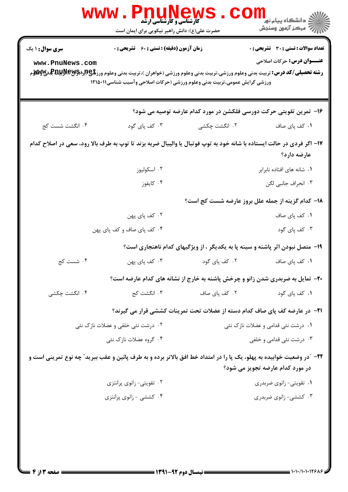| سری سوال : ۱ یک                                                                                                                                                         | <b>زمان آزمون (دقیقه) : تستی : 60 ٪ تشریحی : 0</b> |                                                                           | <b>تعداد سوالات : تستي : 30 ٪ تشريحي : 0</b>                                           |
|-------------------------------------------------------------------------------------------------------------------------------------------------------------------------|----------------------------------------------------|---------------------------------------------------------------------------|----------------------------------------------------------------------------------------|
| www.PnuNews.com<br><b>رشته تحصیلی/کد درس:</b> تربیت بدنی وعلوم ورزشی،تربیت بدنی وعلوم ورزشی (خواهران )،تربیت بدنی وعلوم ورز <b>شگی(ببراپویلپولالپویلوی بو</b> لایی بازی |                                                    | ورزشی گرایش عمومی،تربیت بدنی وعلوم ورزشی (حرکات اصلاحی وآسیب شناسی۱۲۱۵۰۱۱ | <b>عنـــوان درس :</b> حرکات اصلاحی                                                     |
|                                                                                                                                                                         |                                                    |                                                                           | ۱۶- تمرین تقویتی حرکت دورسی فلکشن در مورد کدام عارضه توصیه می شود؟                     |
| ۰۴ انگشت شست کج                                                                                                                                                         | ۰۳ کف پای گود                                      | ۲. انگشت چکشی                                                             | ۰۱ کف پای صاف                                                                          |
| ۱۷– اگر فردی در حالت ایستاده با شانه خود به توپ فوتبال یا والیبال ضربه بزند تا توپ به طرف بالا رود، سعی در اصلاح کدام                                                   |                                                    |                                                                           | عارضه دارد؟                                                                            |
|                                                                                                                                                                         | ٠٢ اسكوليوز                                        |                                                                           | ٠١. شانه های افتاده نابرابر                                                            |
|                                                                                                                                                                         | ۰۴ کايفوز                                          |                                                                           | ٠٣ انحراف جانبي لگن                                                                    |
|                                                                                                                                                                         |                                                    |                                                                           | 18- كدام گزينه از جمله علل بروز عارضه شست كج است؟                                      |
|                                                                                                                                                                         | ۰۲ کف پای پهن                                      |                                                                           | ۰۱ کف پای صاف                                                                          |
|                                                                                                                                                                         | ۰۴ کف پای صاف و کف پای پهن                         |                                                                           | ۰۳ کف پای گود                                                                          |
|                                                                                                                                                                         |                                                    |                                                                           | ۱۹- متصل نبودن اثر پاشنه و سینه پا به یکدیگر ، از ویژگیهای کدام ناهنجاری است؟          |
| ۰۴ شست کج                                                                                                                                                               | ۰۳ کف پای پهن                                      | ۰۲ کف پای گود                                                             | ٠١ كف پاى صاف                                                                          |
|                                                                                                                                                                         |                                                    |                                                                           | <b>۳۰</b> - تمایل به ضربدری شدن زانو و چرخش پاشنه به خارج از نشانه های کدام عارضه است؟ |
| ۰۴ انگشت چکشی                                                                                                                                                           | ۰۳ انگشت کج                                        | ۰۲ کف پای صاف                                                             | ۰۱ کف پای گود                                                                          |
|                                                                                                                                                                         |                                                    |                                                                           | <b>۲۱</b> - در عارضه کف پای صاف کدام دسته از عضلات تحت تمرینات کششی قرار می گیرند؟     |
| ۰۲ درشت نئی خلفی و عضلات نازک نئی                                                                                                                                       |                                                    |                                                                           | ۰۱ درشت نئی قدامی و عضلات نازک نئی                                                     |
|                                                                                                                                                                         | ۰۴ گروه عضلات نازک نئی                             |                                                                           | ۰۳ درشت نئی قدامی و خلفی                                                               |
| <b>۲۲</b> - آدر وضعیت خوابیده به پهلو، یک پا را در امتداد خط افق بالاتر برده و به طرف پائین و عقب ببرید <i>"</i> چه نوع تمرینی است و                                    |                                                    |                                                                           |                                                                                        |
|                                                                                                                                                                         |                                                    |                                                                           | در مورد کدام عارضه تجویز می شود؟                                                       |
|                                                                                                                                                                         | ۰۲ تقویتی- زانوی پرانتزی                           |                                                                           | ۰۱ تقویتی- زانوی ضربدری                                                                |
|                                                                                                                                                                         | ۰۴ کششی - زانوی پرانتزی                            |                                                                           | ۰۳ کششی- زانوی ضربدری                                                                  |